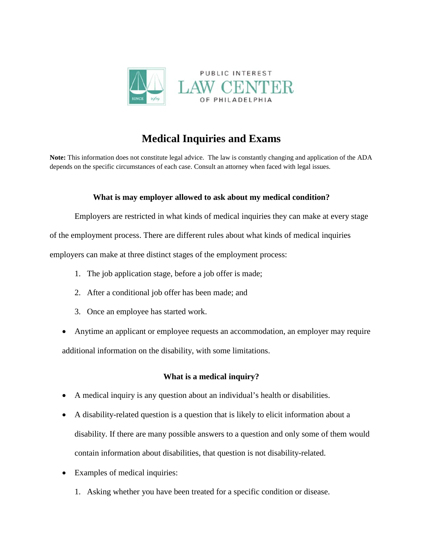

# **Medical Inquiries and Exams**

**Note:** This information does not constitute legal advice. The law is constantly changing and application of the ADA depends on the specific circumstances of each case. Consult an attorney when faced with legal issues.

## **What is may employer allowed to ask about my medical condition?**

Employers are restricted in what kinds of medical inquiries they can make at every stage

of the employment process. There are different rules about what kinds of medical inquiries

employers can make at three distinct stages of the employment process:

- 1. The job application stage, before a job offer is made;
- 2. After a conditional job offer has been made; and
- 3. Once an employee has started work.
- Anytime an applicant or employee requests an accommodation, an employer may require additional information on the disability, with some limitations.

## **What is a medical inquiry?**

- A medical inquiry is any question about an individual's health or disabilities.
- A disability-related question is a question that is likely to elicit information about a disability. If there are many possible answers to a question and only some of them would contain information about disabilities, that question is not disability-related.
- Examples of medical inquiries:
	- 1. Asking whether you have been treated for a specific condition or disease.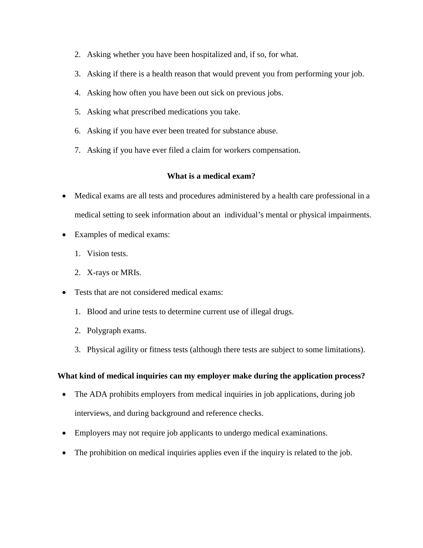- 2. Asking whether you have been hospitalized and, if so, for what.
- 3. Asking if there is a health reason that would prevent you from performing your job.
- 4. Asking how often you have been out sick on previous jobs.
- 5. Asking what prescribed medications you take.
- 6. Asking if you have ever been treated for substance abuse.
- 7. Asking if you have ever filed a claim for workers compensation.

## **What is a medical exam?**

- Medical exams are all tests and procedures administered by a health care professional in a medical setting to seek information about an individual's mental or physical impairments.
- Examples of medical exams:
	- 1. Vision tests.
	- 2. X-rays or MRIs.
- Tests that are not considered medical exams:
	- 1. Blood and urine tests to determine current use of illegal drugs.
	- 2. Polygraph exams.
	- 3. Physical agility or fitness tests (although there tests are subject to some limitations).

## **What kind of medical inquiries can my employer make during the application process?**

- The ADA prohibits employers from medical inquiries in job applications, during job interviews, and during background and reference checks.
- Employers may not require job applicants to undergo medical examinations.
- The prohibition on medical inquiries applies even if the inquiry is related to the job.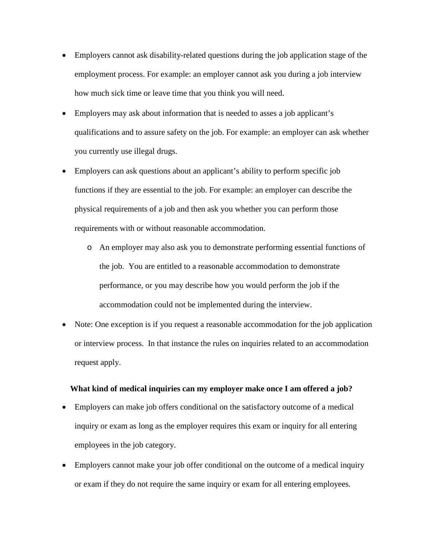- Employers cannot ask disability-related questions during the job application stage of the employment process. For example: an employer cannot ask you during a job interview how much sick time or leave time that you think you will need.
- Employers may ask about information that is needed to asses a job applicant's qualifications and to assure safety on the job. For example: an employer can ask whether you currently use illegal drugs.
- Employers can ask questions about an applicant's ability to perform specific job functions if they are essential to the job. For example: an employer can describe the physical requirements of a job and then ask you whether you can perform those requirements with or without reasonable accommodation.
	- o An employer may also ask you to demonstrate performing essential functions of the job. You are entitled to a reasonable accommodation to demonstrate performance, or you may describe how you would perform the job if the accommodation could not be implemented during the interview.
- Note: One exception is if you request a reasonable accommodation for the job application or interview process. In that instance the rules on inquiries related to an accommodation request apply.

#### **What kind of medical inquiries can my employer make once I am offered a job?**

- Employers can make job offers conditional on the satisfactory outcome of a medical inquiry or exam as long as the employer requires this exam or inquiry for all entering employees in the job category.
- Employers cannot make your job offer conditional on the outcome of a medical inquiry or exam if they do not require the same inquiry or exam for all entering employees.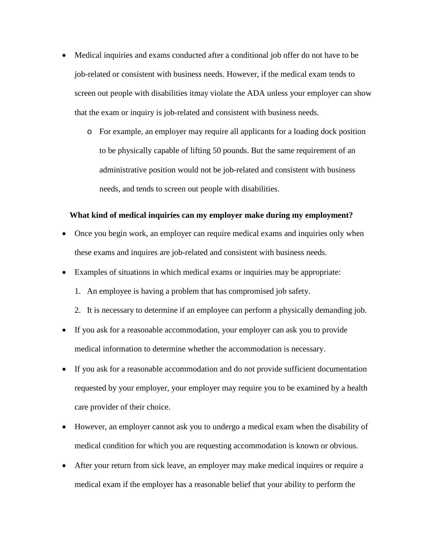- Medical inquiries and exams conducted after a conditional job offer do not have to be job-related or consistent with business needs. However, if the medical exam tends to screen out people with disabilities itmay violate the ADA unless your employer can show that the exam or inquiry is job-related and consistent with business needs.
	- o For example, an employer may require all applicants for a loading dock position to be physically capable of lifting 50 pounds. But the same requirement of an administrative position would not be job-related and consistent with business needs, and tends to screen out people with disabilities.

#### **What kind of medical inquiries can my employer make during my employment?**

- Once you begin work, an employer can require medical exams and inquiries only when these exams and inquires are job-related and consistent with business needs.
- Examples of situations in which medical exams or inquiries may be appropriate:
	- 1. An employee is having a problem that has compromised job safety.
	- 2. It is necessary to determine if an employee can perform a physically demanding job.
- If you ask for a reasonable accommodation, your employer can ask you to provide medical information to determine whether the accommodation is necessary.
- If you ask for a reasonable accommodation and do not provide sufficient documentation requested by your employer, your employer may require you to be examined by a health care provider of their choice.
- However, an employer cannot ask you to undergo a medical exam when the disability of medical condition for which you are requesting accommodation is known or obvious.
- After your return from sick leave, an employer may make medical inquires or require a medical exam if the employer has a reasonable belief that your ability to perform the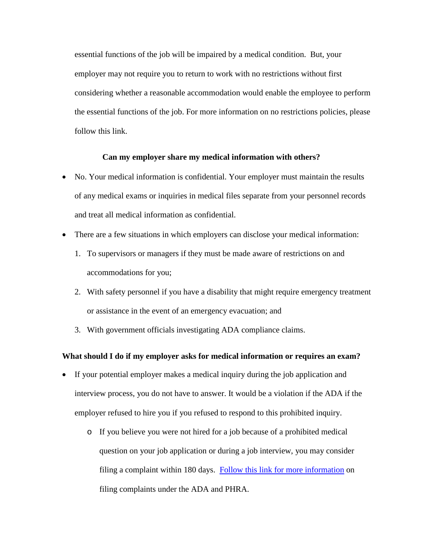essential functions of the job will be impaired by a medical condition. But, your employer may not require you to return to work with no restrictions without first considering whether a reasonable accommodation would enable the employee to perform the essential functions of the job. For more information on no restrictions policies, please follow this link.

#### **Can my employer share my medical information with others?**

- No. Your medical information is confidential. Your employer must maintain the results of any medical exams or inquiries in medical files separate from your personnel records and treat all medical information as confidential.
- There are a few situations in which employers can disclose your medical information:
	- 1. To supervisors or managers if they must be made aware of restrictions on and accommodations for you;
	- 2. With safety personnel if you have a disability that might require emergency treatment or assistance in the event of an emergency evacuation; and
	- 3. With government officials investigating ADA compliance claims.

#### **What should I do if my employer asks for medical information or requires an exam?**

- If your potential employer makes a medical inquiry during the job application and interview process, you do not have to answer. It would be a violation if the ADA if the employer refused to hire you if you refused to respond to this prohibited inquiry.
	- o If you believe you were not hired for a job because of a prohibited medical question on your job application or during a job interview, you may consider filing a complaint within 180 days. [Follow this link for more information](http://www.pilcop.org/wp-content/uploads/2014/11/Challenging-Employment-Discrimination.pdf) on filing complaints under the ADA and PHRA.